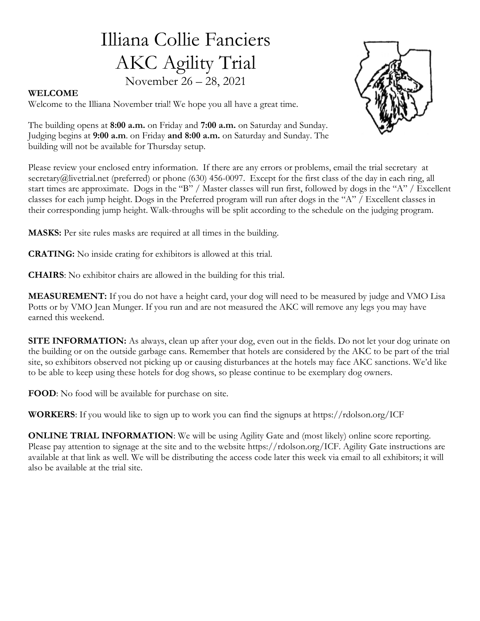# Illiana Collie Fanciers AKC Agility Trial November 26 – 28, 2021



#### WELCOME

Welcome to the Illiana November trial! We hope you all have a great time.

The building opens at 8:00 a.m. on Friday and 7:00 a.m. on Saturday and Sunday. Judging begins at 9:00 a.m. on Friday and 8:00 a.m. on Saturday and Sunday. The building will not be available for Thursday setup.

Please review your enclosed entry information. If there are any errors or problems, email the trial secretary at secretary@livetrial.net (preferred) or phone (630) 456-0097. Except for the first class of the day in each ring, all start times are approximate. Dogs in the "B" / Master classes will run first, followed by dogs in the "A" / Excellent classes for each jump height. Dogs in the Preferred program will run after dogs in the "A" / Excellent classes in their corresponding jump height. Walk-throughs will be split according to the schedule on the judging program.

MASKS: Per site rules masks are required at all times in the building.

CRATING: No inside crating for exhibitors is allowed at this trial.

CHAIRS: No exhibitor chairs are allowed in the building for this trial.

MEASUREMENT: If you do not have a height card, your dog will need to be measured by judge and VMO Lisa Potts or by VMO Jean Munger. If you run and are not measured the AKC will remove any legs you may have earned this weekend.

SITE INFORMATION: As always, clean up after your dog, even out in the fields. Do not let your dog urinate on the building or on the outside garbage cans. Remember that hotels are considered by the AKC to be part of the trial site, so exhibitors observed not picking up or causing disturbances at the hotels may face AKC sanctions. We'd like to be able to keep using these hotels for dog shows, so please continue to be exemplary dog owners.

FOOD: No food will be available for purchase on site.

WORKERS: If you would like to sign up to work you can find the signups at https://rdolson.org/ICF

ONLINE TRIAL INFORMATION: We will be using Agility Gate and (most likely) online score reporting. Please pay attention to signage at the site and to the website https://rdolson.org/ICF. Agility Gate instructions are available at that link as well. We will be distributing the access code later this week via email to all exhibitors; it will also be available at the trial site.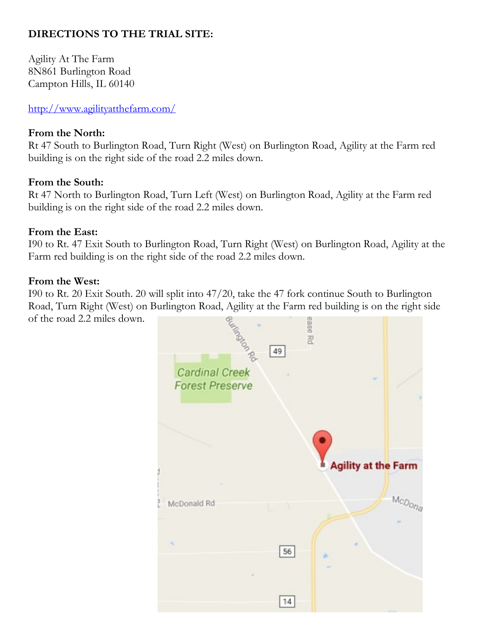## DIRECTIONS TO THE TRIAL SITE:

Agility At The Farm 8N861 Burlington Road Campton Hills, IL 60140

http://www.agilityatthefarm.com/

### From the North:

Rt 47 South to Burlington Road, Turn Right (West) on Burlington Road, Agility at the Farm red building is on the right side of the road 2.2 miles down.

### From the South:

Rt 47 North to Burlington Road, Turn Left (West) on Burlington Road, Agility at the Farm red building is on the right side of the road 2.2 miles down.

### From the East:

I90 to Rt. 47 Exit South to Burlington Road, Turn Right (West) on Burlington Road, Agility at the Farm red building is on the right side of the road 2.2 miles down.

#### From the West:

I90 to Rt. 20 Exit South. 20 will split into 47/20, take the 47 fork continue South to Burlington Road, Turn Right (West) on Burlington Road, Agility at the Farm red building is on the right side of the road 2.2 miles down.